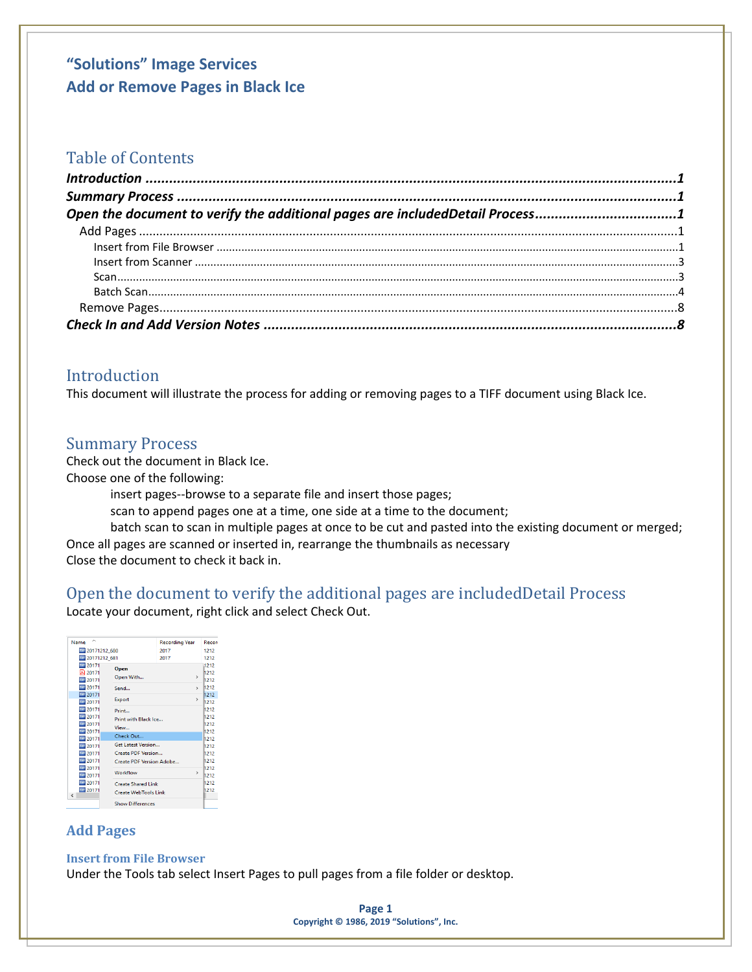## Table of Contents

| Open the document to verify the additional pages are includedDetail Process1 |  |
|------------------------------------------------------------------------------|--|
|                                                                              |  |
|                                                                              |  |
|                                                                              |  |
|                                                                              |  |
|                                                                              |  |
|                                                                              |  |
|                                                                              |  |

### <span id="page-0-0"></span>Introduction

This document will illustrate the process for adding or removing pages to a TIFF document using Black Ice.

### <span id="page-0-1"></span>Summary Process

Check out the document in Black Ice.

Choose one of the following:

insert pages--browse to a separate file and insert those pages;

scan to append pages one at a time, one side at a time to the document;

batch scan to scan in multiple pages at once to be cut and pasted into the existing document or merged; Once all pages are scanned or inserted in, rearrange the thumbnails as necessary Close the document to check it back in.

### <span id="page-0-2"></span>Open the document to verify the additional pages are includedDetail Process

Locate your document, right click and select Check Out.

| Name              |                                 | <b>Recording Year</b> | Reco |
|-------------------|---------------------------------|-----------------------|------|
| 74 20171212 680   |                                 | 2017                  | 1212 |
| 7771212 681       |                                 | 2017                  | 1212 |
| Till 20171        | Open                            |                       | 1212 |
| 의 20171           |                                 |                       | 1212 |
| <b>mil 20171</b>  | Open With                       | $\mathcal{P}$         | 1212 |
| Till 20171        | Send                            | $\mathbf{v}$          | 1212 |
| <b>m</b> 20171    |                                 |                       | 1212 |
| <b>m</b> 20171    | Export                          | $\mathbf{r}$          | 1212 |
| Till 20171        | Print                           |                       | 1212 |
| Till 20171        | Print with Black Ice            |                       | 1212 |
| Till 20171        | View                            |                       | 1212 |
| Till 20171        |                                 |                       | 1212 |
| <b>Till 20171</b> | Check Out                       |                       | 1212 |
| <b>Till 20171</b> | <b>Get Latest Version</b>       |                       | 1212 |
| <b>Till 20171</b> | <b>Create PDF Version</b>       |                       | 1212 |
| <b>mil 20171</b>  | <b>Create PDF Version Adobe</b> |                       | 1212 |
| <b>mil 20171</b>  |                                 |                       | 1212 |
| Titl 20171        | Workflow                        | $\mathcal{P}$         | 1212 |
| Titl 20171        | <b>Create Shared Link</b>       |                       | 1212 |
| Titl 20171        | <b>Create WebTools Link</b>     |                       | 1212 |
| $\epsilon$        | <b>Show Differences</b>         |                       |      |

### <span id="page-0-3"></span>**Add Pages**

#### <span id="page-0-4"></span>**Insert from File Browser**

Under the Tools tab select Insert Pages to pull pages from a file folder or desktop.

**Page 1 Copyright © 1986, 2019 "Solutions", Inc.**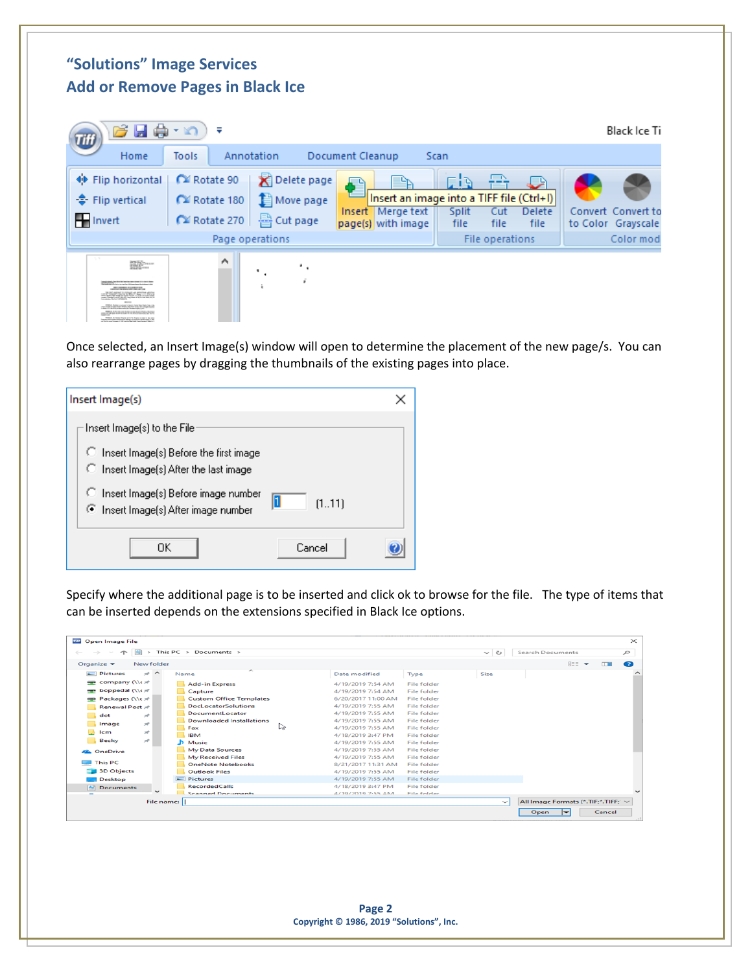| "Solutions" Image Services<br><b>Add or Remove Pages in Black Ice</b>                                                                                                 |                                                                                                                                                         |                                          |
|-----------------------------------------------------------------------------------------------------------------------------------------------------------------------|---------------------------------------------------------------------------------------------------------------------------------------------------------|------------------------------------------|
| 冷日号<br>₹                                                                                                                                                              |                                                                                                                                                         | Black Ice Ti                             |
| Home<br>Annotation<br><b>Tools</b>                                                                                                                                    | Document Cleanup<br>Scan                                                                                                                                |                                          |
| <b>◆ Flip horizontal</b><br>M Rotate 90<br>Delete page<br>1 Move page<br>M Rotate 180<br><del>↓</del> Flip vertical<br>ed Cut page<br><b>H</b> Invert<br>M Rotate 270 | Insert an image into a TIFF file (Ctrl+I)<br>Merge text<br><b>Split</b><br><b>Delete</b><br>Cut<br>Insert<br>page(s) with image<br>file<br>file<br>file | Convert Convert to<br>to Color Grayscale |
| Page operations                                                                                                                                                       | File operations                                                                                                                                         | Color mod                                |
| ∧<br><b>BERRY-</b><br>٠.<br>٠<br>٠<br>the term teacher distinguished and determined<br>ALCOHOL: NAVARA PARA TA TAGAN A<br>or was some that if its individual of C     |                                                                                                                                                         |                                          |

Once selected, an Insert Image(s) window will open to determine the placement of the new page/s. You can also rearrange pages by dragging the thumbnails of the existing pages into place.



Specify where the additional page is to be inserted and click ok to browse for the file. The type of items that can be inserted depends on the extensions specified in Black Ice options.

| $\rightarrow$                                | This $PC \rightarrow Doc$ uments > |                      |                    | ு<br>$\checkmark$ | Search Documents | عر                  |
|----------------------------------------------|------------------------------------|----------------------|--------------------|-------------------|------------------|---------------------|
| New folder<br>Organize $\sim$                |                                    |                      |                    |                   | <b>BEE</b>       | $\bullet$<br>$\Box$ |
| $\rightarrow$ $\sim$<br>$=$ Pictures         | ∼<br>Name                          | <b>Date modified</b> | Type               | Size              |                  |                     |
| company (\\c;#<br>$\overline{\phantom{a}}$   | <b>Add-in Express</b>              | 4/19/2019 7:54 AM    | <b>File folder</b> |                   |                  |                     |
| boppedal (\\c =*<br>$\overline{\phantom{a}}$ | Capture                            | 4/19/2019 7:54 AM    | <b>File folder</b> |                   |                  |                     |
| Packages (\\c *<br>÷                         | <b>Custom Office Templates</b>     | 6/20/2017 11:00 AM   | File folder        |                   |                  |                     |
| Renewal Post **                              | <b>DocLocatorSolutions</b>         | 4/19/2019 7:55 AM    | File folder        |                   |                  |                     |
| dot<br>п.<br>$\overline{\mathcal{A}}$        | DocumentLocator                    | 4/19/2019 7:55 AM    | <b>File folder</b> |                   |                  |                     |
| Image<br>$\mathcal{A}$                       | <b>Downloaded Installations</b>    | 4/19/2019 7:55 AM    | File folder        |                   |                  |                     |
| Q.<br>lcm<br>$\mathcal{A}^{\mathsf{b}}$      | いく<br>Fax                          | 4/19/2019 7:55 AM    | File folder        |                   |                  |                     |
|                                              | <b>IBM</b>                         | 4/18/2019 3:47 PM    | File folder        |                   |                  |                     |
| Becky<br>×                                   | Music                              | 4/19/2019 7:55 AM    | <b>File folder</b> |                   |                  |                     |
| <b>ConeDrive</b>                             | My Data Sources                    | 4/19/2019 7:55 AM    | <b>File folder</b> |                   |                  |                     |
|                                              | <b>My Received Files</b>           | 4/19/2019 7:55 AM    | <b>File folder</b> |                   |                  |                     |
| $\Box$ This PC                               | <b>OneNote Notebooks</b>           | 8/21/2017 11:31 AM   | File folder        |                   |                  |                     |
| 3D Objects                                   | <b>Outlook Files</b>               | 4/19/2019 7:55 AM    | <b>File folder</b> |                   |                  |                     |
| Desktop                                      | $=$ Pictures                       | 4/19/2019 7:55 AM    | File folder        |                   |                  |                     |
| 圖<br><b>Documents</b><br>$\tilde{}$          | <b>RecordedCalls</b>               | 4/18/2019 3:47 PM    | <b>File folder</b> |                   |                  |                     |
| $\overline{\phantom{a}}$                     | <b>Scanned Documents</b>           | 4/19/2019 7-55 AM    | File folder        |                   |                  |                     |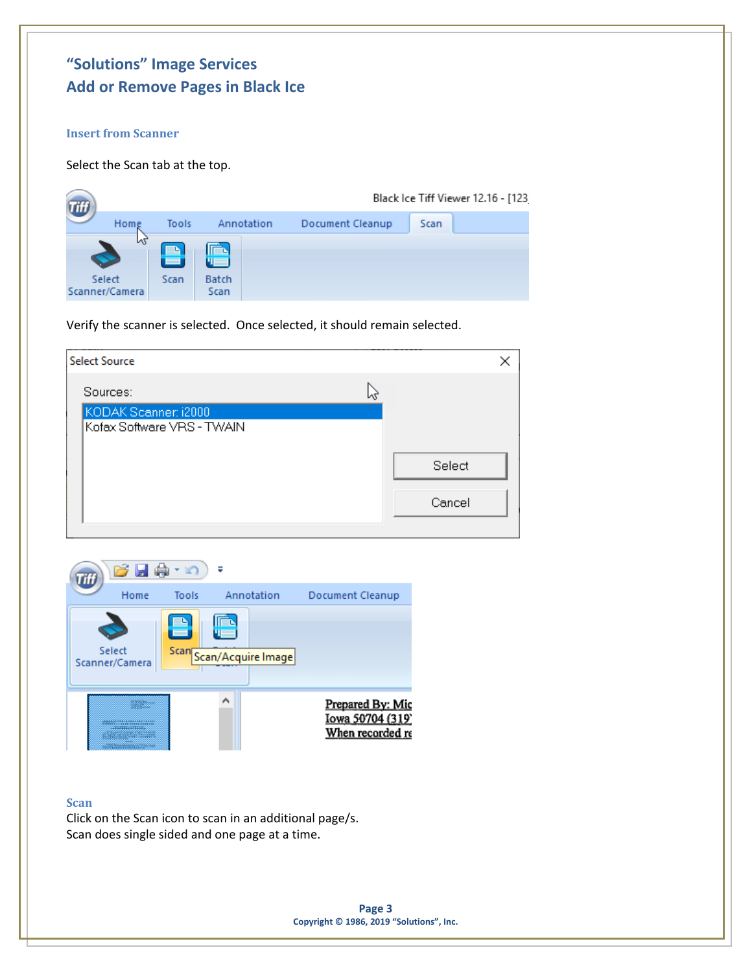#### <span id="page-2-0"></span>**Insert from Scanner**

Select the Scan tab at the top.



Verify the scanner is selected. Once selected, it should remain selected.

| <b>Select Source</b>                               |        |
|----------------------------------------------------|--------|
| Sources:                                           |        |
| KODAK Scanner: i2000<br>Kofax Software VRS - TWAIN |        |
|                                                    | Select |
|                                                    | Cancel |



<span id="page-2-1"></span>**Scan**

Click on the Scan icon to scan in an additional page/s. Scan does single sided and one page at a time.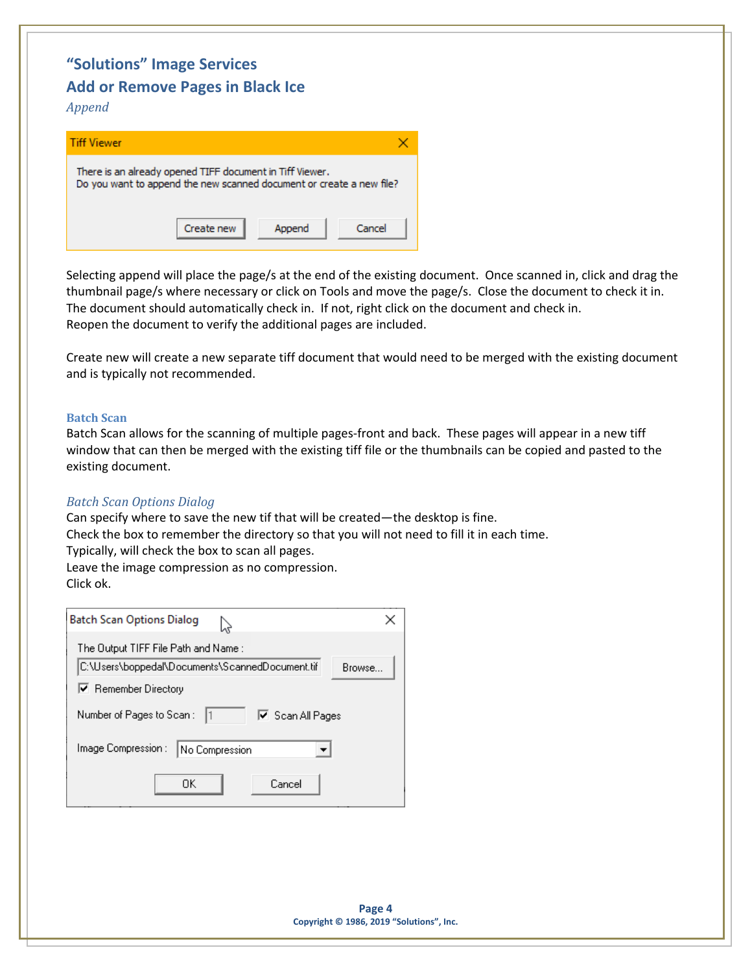*Append*

| <b>Tiff Viewer</b>                                                                                                               |        |        |
|----------------------------------------------------------------------------------------------------------------------------------|--------|--------|
| There is an already opened TIFF document in Tiff Viewer.<br>Do you want to append the new scanned document or create a new file? |        |        |
| Create new                                                                                                                       | Append | Cancel |

Selecting append will place the page/s at the end of the existing document. Once scanned in, click and drag the thumbnail page/s where necessary or click on Tools and move the page/s. Close the document to check it in. The document should automatically check in. If not, right click on the document and check in. Reopen the document to verify the additional pages are included.

Create new will create a new separate tiff document that would need to be merged with the existing document and is typically not recommended.

#### <span id="page-3-0"></span>**Batch Scan**

Batch Scan allows for the scanning of multiple pages-front and back. These pages will appear in a new tiff window that can then be merged with the existing tiff file or the thumbnails can be copied and pasted to the existing document.

#### *Batch Scan Options Dialog*

Can specify where to save the new tif that will be created—the desktop is fine. Check the box to remember the directory so that you will not need to fill it in each time. Typically, will check the box to scan all pages. Leave the image compression as no compression. Click ok.

| <b>Batch Scan Options Dialog</b><br>ド           |        |
|-------------------------------------------------|--------|
| The Output TIFF File Path and Name :            |        |
| C:\Users\boppedal\Documents\ScannedDocument.tif | Browse |
| ► Remember Directory                            |        |
| Number of Pages to Scan :<br>l✔ Scan All Pages  |        |
| Image Compression :<br>No Compression           |        |
| Cancel<br>OΚ                                    |        |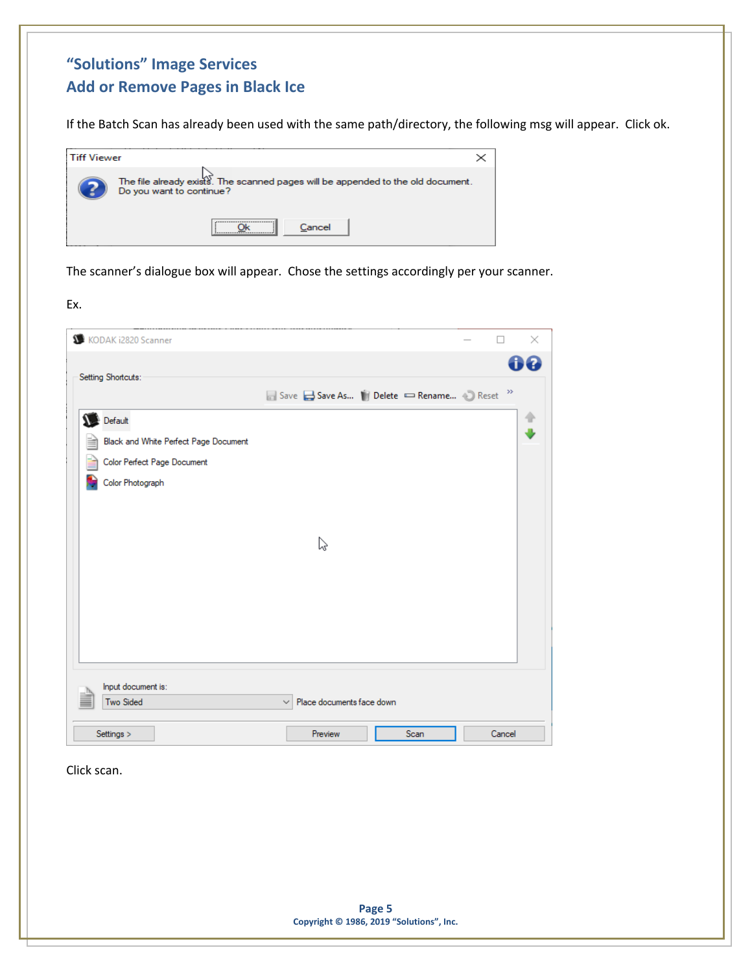If the Batch Scan has already been used with the same path/directory, the following msg will appear. Click ok.

| <b>Tiff Viewer</b> |                                                                                                              |  |
|--------------------|--------------------------------------------------------------------------------------------------------------|--|
|                    | The file already exists. The scanned pages will be appended to the old document.<br>Do you want to continue? |  |
|                    | <br>Cancel                                                                                                   |  |

The scanner's dialogue box will appear. Chose the settings accordingly per your scanner.

| KODAK i2820 Scanner                    |                                           |  | $\Box$ | $\times$ |
|----------------------------------------|-------------------------------------------|--|--------|----------|
| Setting Shortcuts:                     |                                           |  |        | 60       |
|                                        | Save Save As In Delete Rename Reset >>    |  |        |          |
| Default                                |                                           |  |        |          |
| Black and White Perfect Page Document  |                                           |  |        |          |
| Color Perfect Page Document            |                                           |  |        |          |
| Color Photograph                       |                                           |  |        |          |
|                                        |                                           |  |        |          |
|                                        |                                           |  |        |          |
|                                        | ß                                         |  |        |          |
|                                        |                                           |  |        |          |
|                                        |                                           |  |        |          |
|                                        |                                           |  |        |          |
|                                        |                                           |  |        |          |
|                                        |                                           |  |        |          |
|                                        |                                           |  |        |          |
| Input document is:<br><b>Two Sided</b> | Place documents face down<br>$\checkmark$ |  |        |          |

Click scan.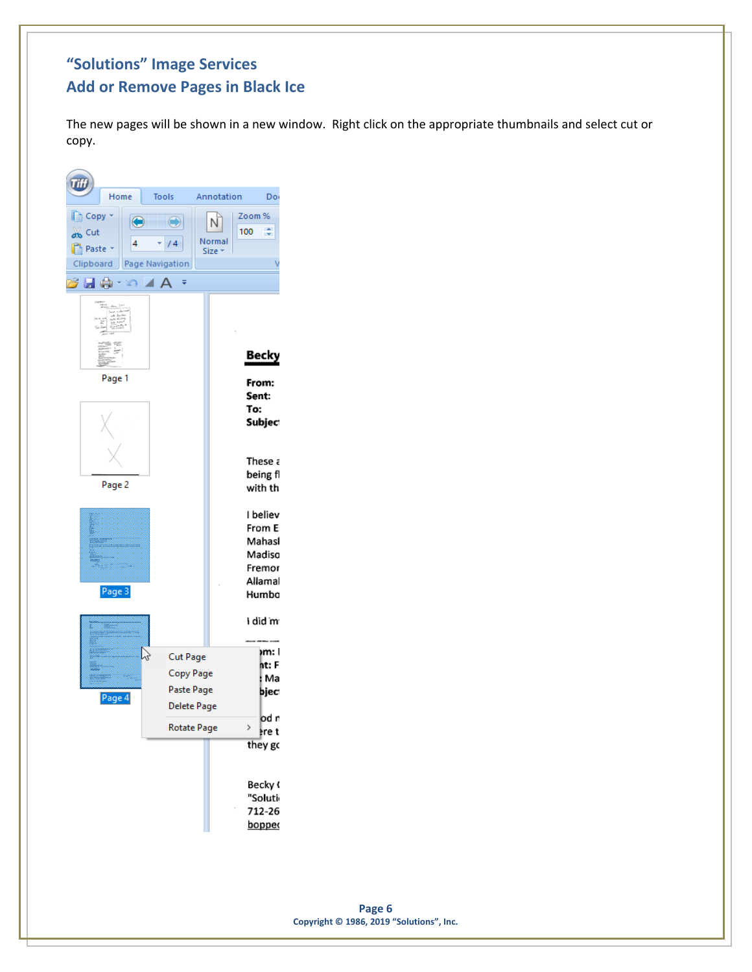The new pages will be shown in a new window. Right click on the appropriate thumbnails and select cut or copy.

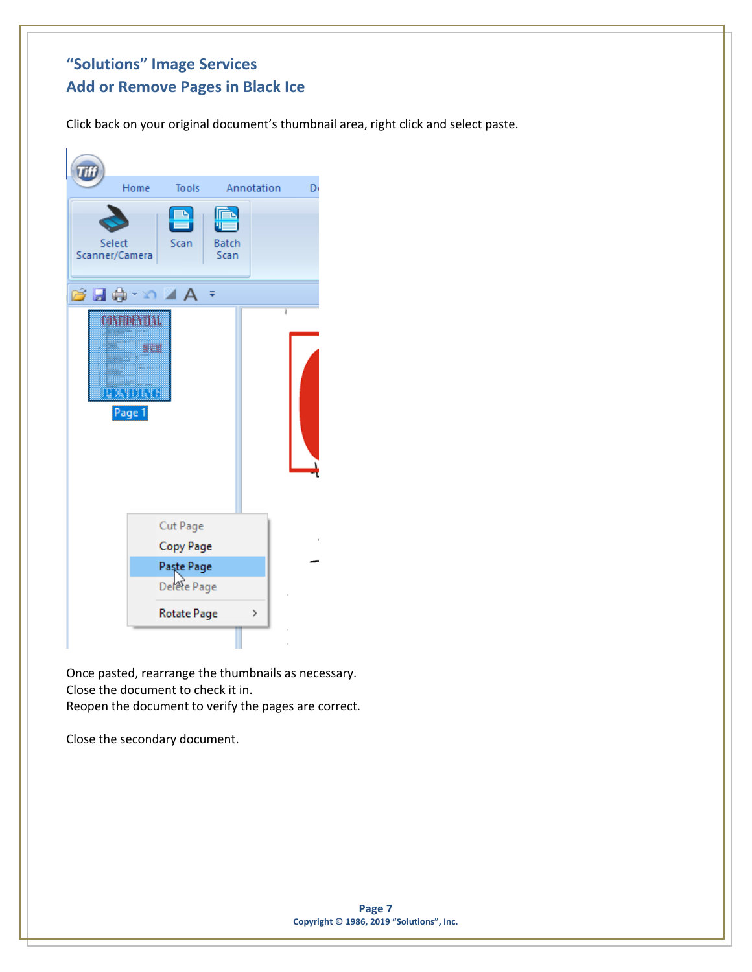Click back on your original document's thumbnail area, right click and select paste.

|                                   | Home                     | Tools          |                      | Annotation | D) |
|-----------------------------------|--------------------------|----------------|----------------------|------------|----|
| Select<br>Scanner/Camera<br>c H O |                          | Scan<br>$AA =$ | <b>Batch</b><br>Scan |            |    |
|                                   |                          |                |                      |            | ī  |
|                                   | ONIDAILL<br>頸頭<br>Page 1 |                |                      |            |    |
|                                   |                          | Cut Page       |                      |            |    |
|                                   |                          | Copy Page      |                      |            |    |
|                                   |                          | Paste Page     |                      |            |    |
|                                   |                          | Delete Page    |                      |            |    |
|                                   |                          | Rotate Page    |                      | ≯          |    |
|                                   |                          |                |                      |            |    |

Once pasted, rearrange the thumbnails as necessary. Close the document to check it in. Reopen the document to verify the pages are correct.

Close the secondary document.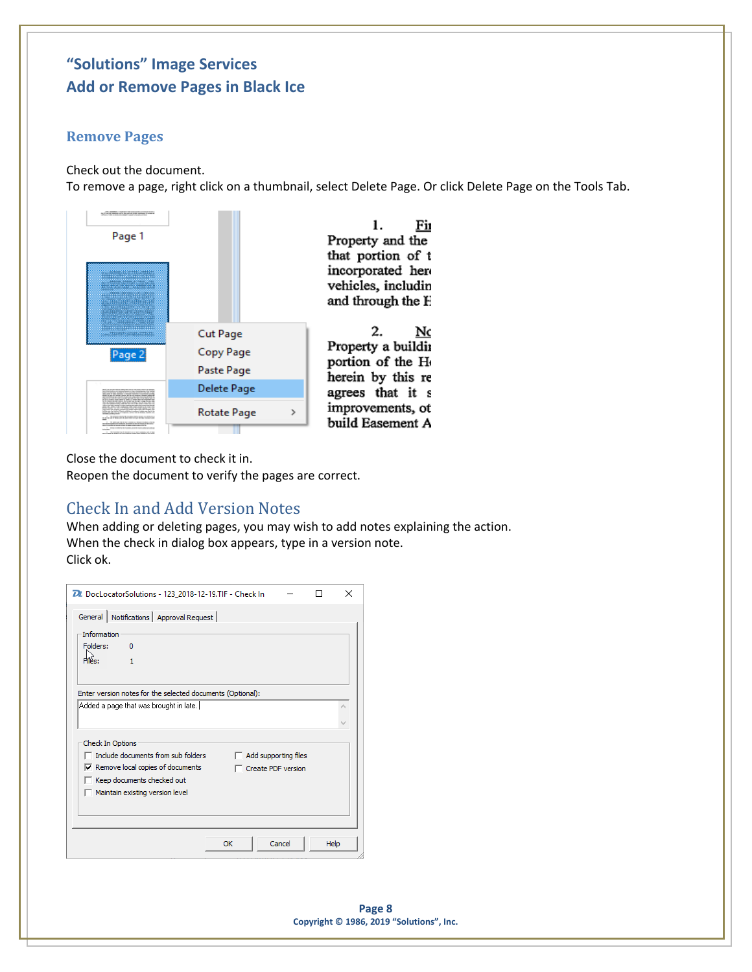#### <span id="page-7-0"></span>**Remove Pages**

Check out the document.

To remove a page, right click on a thumbnail, select Delete Page. Or click Delete Page on the Tools Tab.



Close the document to check it in.

<span id="page-7-1"></span>Reopen the document to verify the pages are correct.

### Check In and Add Version Notes

When adding or deleting pages, you may wish to add notes explaining the action. When the check in dialog box appears, type in a version note. Click ok.

|                  | DL DocLocatorSolutions - 123_2018-12-19.TIF - Check In     |    |                      | ×    |
|------------------|------------------------------------------------------------|----|----------------------|------|
|                  | General   Notifications   Approval Request                 |    |                      |      |
| Information      |                                                            |    |                      |      |
| Folders:         | o                                                          |    |                      |      |
| Fille.           | 1                                                          |    |                      |      |
|                  |                                                            |    |                      |      |
|                  | Enter version notes for the selected documents (Optional): |    |                      |      |
|                  |                                                            |    |                      |      |
|                  | Added a page that was brought in late.                     |    |                      | ۸    |
|                  |                                                            |    |                      |      |
|                  |                                                            |    |                      |      |
| Check In Options |                                                            |    |                      |      |
|                  | Include documents from sub folders                         |    | Add supporting files |      |
|                  | $\nabla$ Remove local copies of documents                  |    | Create PDF version   |      |
|                  | Keep documents checked out                                 |    |                      |      |
|                  | Maintain existing version level                            |    |                      |      |
|                  |                                                            |    |                      |      |
|                  |                                                            |    |                      |      |
|                  |                                                            | OK | Cancel               | Help |